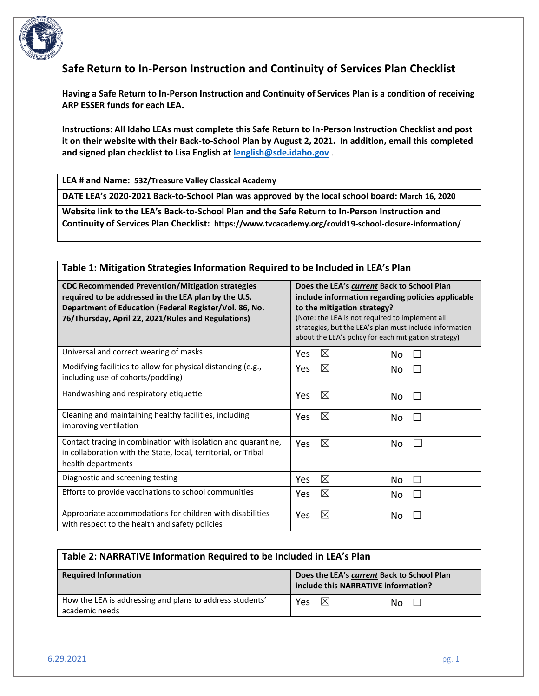

# **Safe Return to In-Person Instruction and Continuity of Services Plan Checklist**

**Having a Safe Return to In-Person Instruction and Continuity of Services Plan is a condition of receiving ARP ESSER funds for each LEA.** 

**Instructions: All Idaho LEAs must complete this Safe Return to In-Person Instruction Checklist and post it on their website with their Back-to-School Plan by August 2, 2021. In addition, email this completed and signed plan checklist to Lisa English at [lenglish@sde.idaho.gov](mailto:lenglish@sde.idaho.gov)** .

**LEA # and Name: 532/Treasure Valley Classical Academy**

**DATE LEA's 2020-2021 Back-to-School Plan was approved by the local school board: March 16, 2020**

**Website link to the LEA's Back-to-School Plan and the Safe Return to In-Person Instruction and Continuity of Services Plan Checklist: https://www.tvcacademy.org/covid19-school-closure-information/**

### **Table 1: Mitigation Strategies Information Required to be Included in LEA's Plan**

| <b>CDC Recommended Prevention/Mitigation strategies</b><br>required to be addressed in the LEA plan by the U.S.<br>Department of Education (Federal Register/Vol. 86, No.<br>76/Thursday, April 22, 2021/Rules and Regulations) | Does the LEA's current Back to School Plan<br>include information regarding policies applicable<br>to the mitigation strategy?<br>(Note: the LEA is not required to implement all<br>strategies, but the LEA's plan must include information<br>about the LEA's policy for each mitigation strategy) |  |  |
|---------------------------------------------------------------------------------------------------------------------------------------------------------------------------------------------------------------------------------|------------------------------------------------------------------------------------------------------------------------------------------------------------------------------------------------------------------------------------------------------------------------------------------------------|--|--|
| Universal and correct wearing of masks                                                                                                                                                                                          | ⊠<br>Yes<br>No<br>H                                                                                                                                                                                                                                                                                  |  |  |
| Modifying facilities to allow for physical distancing (e.g.,<br>including use of cohorts/podding)                                                                                                                               | $\boxtimes$<br><b>Yes</b><br>No<br>$\Box$                                                                                                                                                                                                                                                            |  |  |
| Handwashing and respiratory etiquette                                                                                                                                                                                           | ⊠<br>Yes<br>No<br>П                                                                                                                                                                                                                                                                                  |  |  |
| Cleaning and maintaining healthy facilities, including<br>improving ventilation                                                                                                                                                 | $\boxtimes$<br>Yes<br>No<br>П                                                                                                                                                                                                                                                                        |  |  |
| Contact tracing in combination with isolation and quarantine,<br>in collaboration with the State, local, territorial, or Tribal<br>health departments                                                                           | ⊠<br><b>Yes</b><br>No                                                                                                                                                                                                                                                                                |  |  |
| Diagnostic and screening testing                                                                                                                                                                                                | $\boxtimes$<br>Yes<br>No<br>$\Box$                                                                                                                                                                                                                                                                   |  |  |
| Efforts to provide vaccinations to school communities                                                                                                                                                                           | $\boxtimes$<br>Yes<br>No<br>$\Box$                                                                                                                                                                                                                                                                   |  |  |
| Appropriate accommodations for children with disabilities<br>with respect to the health and safety policies                                                                                                                     | $\boxtimes$<br>Yes<br>No                                                                                                                                                                                                                                                                             |  |  |

| Table 2: NARRATIVE Information Required to be Included in LEA's Plan       |                                                                                   |                                |  |
|----------------------------------------------------------------------------|-----------------------------------------------------------------------------------|--------------------------------|--|
| <b>Required Information</b>                                                | Does the LEA's current Back to School Plan<br>include this NARRATIVE information? |                                |  |
| How the LEA is addressing and plans to address students'<br>academic needs | $\boxtimes$<br>Yes                                                                | N <sub>0</sub><br>$\mathbf{1}$ |  |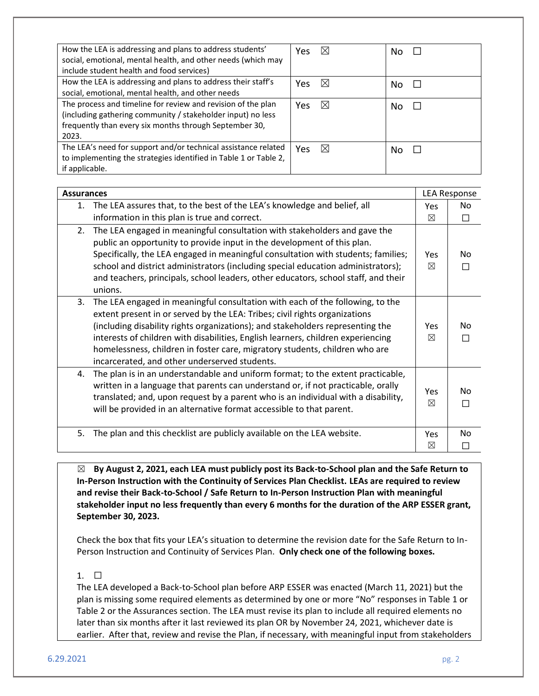| How the LEA is addressing and plans to address students'<br>social, emotional, mental health, and other needs (which may<br>include student health and food services)                          | $\boxtimes$<br>Yes. | No |
|------------------------------------------------------------------------------------------------------------------------------------------------------------------------------------------------|---------------------|----|
| How the LEA is addressing and plans to address their staff's<br>social, emotional, mental health, and other needs                                                                              | $\boxtimes$<br>Yes  | No |
| The process and timeline for review and revision of the plan<br>(including gathering community / stakeholder input) no less<br>frequently than every six months through September 30,<br>2023. | $\boxtimes$<br>Yes  | No |
| The LEA's need for support and/or technical assistance related<br>to implementing the strategies identified in Table 1 or Table 2,<br>if applicable.                                           | ⊠<br><b>Yes</b>     | No |

| <b>Assurances</b>                                                                                                                                                                                                                                                                                                                                                                                                                                                       |                    | <b>LEA Response</b> |  |
|-------------------------------------------------------------------------------------------------------------------------------------------------------------------------------------------------------------------------------------------------------------------------------------------------------------------------------------------------------------------------------------------------------------------------------------------------------------------------|--------------------|---------------------|--|
| The LEA assures that, to the best of the LEA's knowledge and belief, all<br>1.<br>information in this plan is true and correct.                                                                                                                                                                                                                                                                                                                                         | <b>Yes</b><br>⊠    | No.<br>П            |  |
| The LEA engaged in meaningful consultation with stakeholders and gave the<br>2.<br>public an opportunity to provide input in the development of this plan.<br>Specifically, the LEA engaged in meaningful consultation with students; families;<br>school and district administrators (including special education administrators);<br>and teachers, principals, school leaders, other educators, school staff, and their<br>unions.                                    | Yes<br>$\boxtimes$ | No<br>П             |  |
| The LEA engaged in meaningful consultation with each of the following, to the<br>3.<br>extent present in or served by the LEA: Tribes; civil rights organizations<br>(including disability rights organizations); and stakeholders representing the<br>interests of children with disabilities, English learners, children experiencing<br>homelessness, children in foster care, migratory students, children who are<br>incarcerated, and other underserved students. | Yes<br>⊠           | No<br>П             |  |
| The plan is in an understandable and uniform format; to the extent practicable,<br>4.<br>written in a language that parents can understand or, if not practicable, orally<br>translated; and, upon request by a parent who is an individual with a disability,<br>will be provided in an alternative format accessible to that parent.                                                                                                                                  | Yes<br>$\boxtimes$ | No<br>П             |  |
| The plan and this checklist are publicly available on the LEA website.<br>5.                                                                                                                                                                                                                                                                                                                                                                                            | Yes<br>⊠           | No<br>П             |  |

☒ **By August 2, 2021, each LEA must publicly post its Back-to-School plan and the Safe Return to In-Person Instruction with the Continuity of Services Plan Checklist. LEAs are required to review and revise their Back-to-School / Safe Return to In-Person Instruction Plan with meaningful stakeholder input no less frequently than every 6 months for the duration of the ARP ESSER grant, September 30, 2023.** 

Check the box that fits your LEA's situation to determine the revision date for the Safe Return to In-Person Instruction and Continuity of Services Plan. **Only check one of the following boxes.**

### 1. ☐

The LEA developed a Back-to-School plan before ARP ESSER was enacted (March 11, 2021) but the plan is missing some required elements as determined by one or more "No" responses in Table 1 or Table 2 or the Assurances section. The LEA must revise its plan to include all required elements no later than six months after it last reviewed its plan OR by November 24, 2021, whichever date is earlier. After that, review and revise the Plan, if necessary, with meaningful input from stakeholders